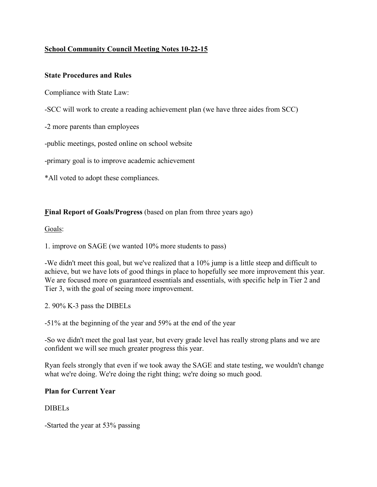# **School Community Council Meeting Notes 10-22-15**

## **State Procedures and Rules**

Compliance with State Law:

-SCC will work to create a reading achievement plan (we have three aides from SCC)

-2 more parents than employees

-public meetings, posted online on school website

-primary goal is to improve academic achievement

\*All voted to adopt these compliances.

### **Final Report of Goals/Progress** (based on plan from three years ago)

#### Goals:

1. improve on SAGE (we wanted 10% more students to pass)

-We didn't meet this goal, but we've realized that a 10% jump is a little steep and difficult to achieve, but we have lots of good things in place to hopefully see more improvement this year. We are focused more on guaranteed essentials and essentials, with specific help in Tier 2 and Tier 3, with the goal of seeing more improvement.

2. 90% K-3 pass the DIBELs

-51% at the beginning of the year and 59% at the end of the year

-So we didn't meet the goal last year, but every grade level has really strong plans and we are confident we will see much greater progress this year.

Ryan feels strongly that even if we took away the SAGE and state testing, we wouldn't change what we're doing. We're doing the right thing; we're doing so much good.

#### **Plan for Current Year**

#### DIBELs

-Started the year at 53% passing